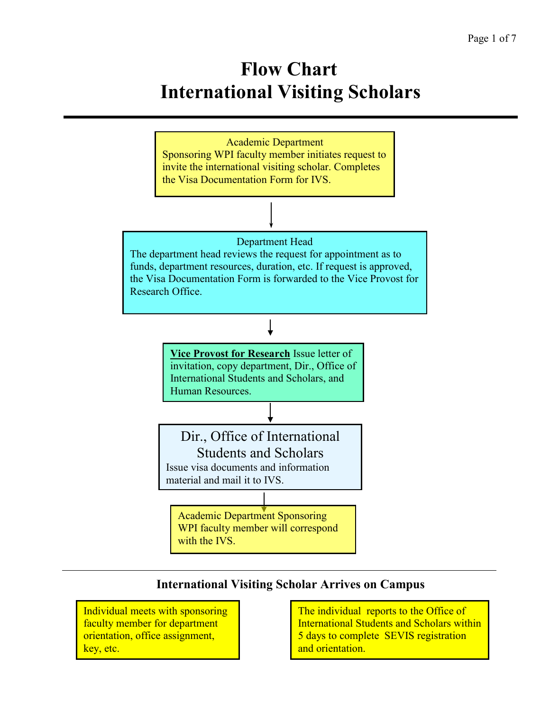# **Flow Chart International Visiting Scholars**



## **International Visiting Scholar Arrives on Campus**

Individual meets with sponsoring faculty member for department orientation, office assignment, key, etc.

The individual reports to the Office of International Students and Scholars within 5 days to complete SEVIS registration and orientation.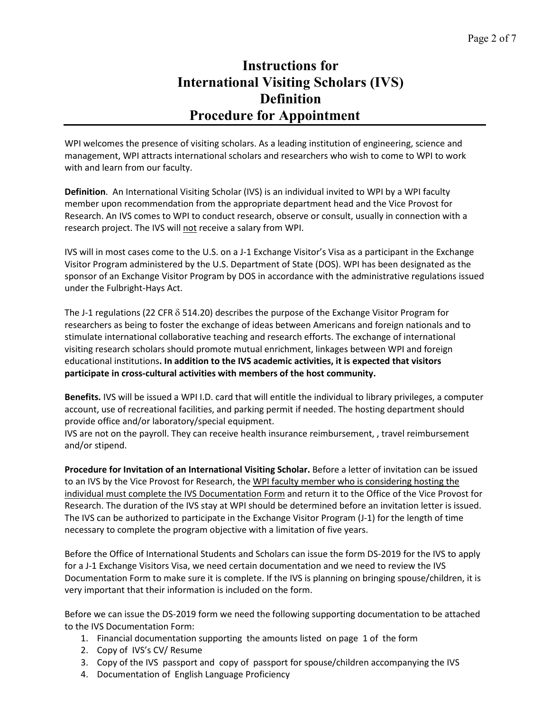## **Instructions for International Visiting Scholars (IVS) Definition Procedure for Appointment**

WPI welcomes the presence of visiting scholars. As a leading institution of engineering, science and management, WPI attracts international scholars and researchers who wish to come to WPI to work with and learn from our faculty.

**Definition**. An International Visiting Scholar (IVS) is an individual invited to WPI by a WPI faculty member upon recommendation from the appropriate department head and the Vice Provost for Research. An IVS comes to WPI to conduct research, observe or consult, usually in connection with a research project. The IVS will not receive a salary from WPI.

IVS will in most cases come to the U.S. on a J-1 Exchange Visitor's Visa as a participant in the Exchange Visitor Program administered by the U.S. Department of State (DOS). WPI has been designated as the sponsor of an Exchange Visitor Program by DOS in accordance with the administrative regulations issued under the Fulbright-Hays Act.

The J-1 regulations (22 CFR  $\delta$  514.20) describes the purpose of the Exchange Visitor Program for researchers as being to foster the exchange of ideas between Americans and foreign nationals and to stimulate international collaborative teaching and research efforts. The exchange of international visiting research scholars should promote mutual enrichment, linkages between WPI and foreign educational institutions**. In addition to the IVS academic activities, it is expected that visitors participate in cross-cultural activities with members of the host community.**

**Benefits.** IVS will be issued a WPI I.D. card that will entitle the individual to library privileges, a computer account, use of recreational facilities, and parking permit if needed. The hosting department should provide office and/or laboratory/special equipment.

IVS are not on the payroll. They can receive health insurance reimbursement, , travel reimbursement and/or stipend.

**Procedure for Invitation of an International Visiting Scholar.** Before a letter of invitation can be issued to an IVS by the Vice Provost for Research, the WPI faculty member who is considering hosting the individual must complete the IVS Documentation Form and return it to the Office of the Vice Provost for Research. The duration of the IVS stay at WPI should be determined before an invitation letter is issued. The IVS can be authorized to participate in the Exchange Visitor Program (J-1) for the length of time necessary to complete the program objective with a limitation of five years.

Before the Office of International Students and Scholars can issue the form DS-2019 for the IVS to apply for a J-1 Exchange Visitors Visa, we need certain documentation and we need to review the IVS Documentation Form to make sure it is complete. If the IVS is planning on bringing spouse/children, it is very important that their information is included on the form.

Before we can issue the DS-2019 form we need the following supporting documentation to be attached to the IVS Documentation Form:

- 1. Financial documentation supporting the amounts listed on page 1 of the form
- 2. Copy of IVS's CV/ Resume
- 3. Copy of the IVS passport and copy of passport for spouse/children accompanying the IVS
- 4. Documentation of English Language Proficiency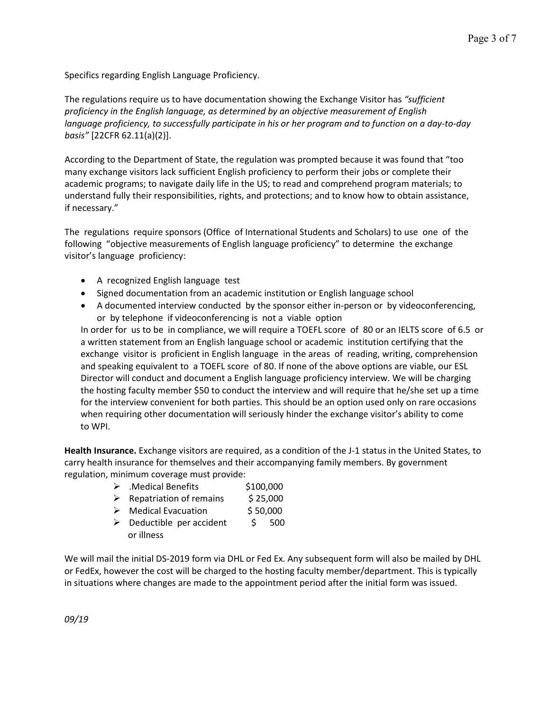Specifics regarding English Language Proficiency.

The regulations require us to have documentation showing the Exchange Visitor has *"sufficient proficiency in the English language, as determined by an objective measurement of English language proficiency, to successfully participate in his or her program and to function on a day-to-day basis"* [22CFR 62.11(a)(2)].

According to the Department of State, the regulation was prompted because it was found that "too many exchange visitors lack sufficient English proficiency to perform their jobs or complete their academic programs; to navigate daily life in the US; to read and comprehend program materials; to understand fully their responsibilities, rights, and protections; and to know how to obtain assistance, if necessary."

The regulations require sponsors (Office of International Students and Scholars) to use one of the following "objective measurements of English language proficiency" to determine the exchange visitor's language proficiency:

- A recognized English language test
- Signed documentation from an academic institution or English language school
- A documented interview conducted by the sponsor either in-person or by videoconferencing, or by telephone if videoconferencing is not a viable option

In order for us to be in compliance, we will require a TOEFL score of 80 or an IELTS score of 6.5 or a written statement from an English language school or academic institution certifying that the exchange visitor is proficient in English language in the areas of reading, writing, comprehension and speaking equivalent to a TOEFL score of 80. If none of the above options are viable, our ESL Director will conduct and document a English language proficiency interview. We will be charging the hosting faculty member \$50 to conduct the interview and will require that he/she set up a time for the interview convenient for both parties. This should be an option used only on rare occasions when requiring other documentation will seriously hinder the exchange visitor's ability to come to WPI.

**Health Insurance.** Exchange visitors are required, as a condition of the J-1 status in the United States, to carry health insurance for themselves and their accompanying family members. By government regulation, minimum coverage must provide:

- $\triangleright$  . Medical Benefits  $$100,000$
- $\triangleright$  Repatriation of remains \$ 25,000
- ▶ Medical Evacuation \$ 50,000
- $\triangleright$  Deductible per accident  $\triangleright$  500 or illness

We will mail the initial DS-2019 form via DHL or Fed Ex. Any subsequent form will also be mailed by DHL or FedEx, however the cost will be charged to the hosting faculty member/department. This is typically in situations where changes are made to the appointment period after the initial form was issued.

*09/19*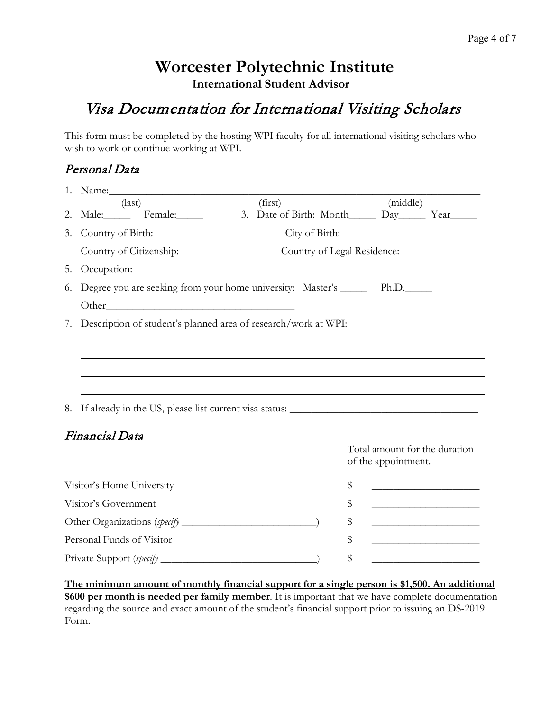## **Worcester Polytechnic Institute International Student Advisor**

# Visa Documentation for International Visiting Scholars

This form must be completed by the hosting WPI faculty for all international visiting scholars who wish to work or continue working at WPI.

### Personal Data

|                                 | 1. Name:                                                                                                                                                                                                                       |  |         |    |                     |                                                                            |
|---------------------------------|--------------------------------------------------------------------------------------------------------------------------------------------------------------------------------------------------------------------------------|--|---------|----|---------------------|----------------------------------------------------------------------------|
|                                 | $\text{(last)}$                                                                                                                                                                                                                |  | (first) |    | (middle)            |                                                                            |
|                                 | 2. Male: Female: 3. Date of Birth: Month Day Year                                                                                                                                                                              |  |         |    |                     |                                                                            |
| 3.                              |                                                                                                                                                                                                                                |  |         |    |                     | City of Birth:                                                             |
|                                 | Country of Citizenship: Country of Legal Residence:                                                                                                                                                                            |  |         |    |                     |                                                                            |
| 5.                              | Occupation: Contact Contact Contact Contact Contact Contact Contact Contact Contact Contact Contact Contact Contact Contact Contact Contact Contact Contact Contact Contact Contact Contact Contact Contact Contact Contact Co |  |         |    |                     |                                                                            |
| 6.                              | Degree you are seeking from your home university: Master's _______ Ph.D.______                                                                                                                                                 |  |         |    |                     |                                                                            |
|                                 |                                                                                                                                                                                                                                |  |         |    |                     |                                                                            |
|                                 | 7. Description of student's planned area of research/work at WPI:                                                                                                                                                              |  |         |    |                     |                                                                            |
|                                 |                                                                                                                                                                                                                                |  |         |    |                     |                                                                            |
|                                 |                                                                                                                                                                                                                                |  |         |    |                     |                                                                            |
|                                 |                                                                                                                                                                                                                                |  |         |    |                     |                                                                            |
|                                 |                                                                                                                                                                                                                                |  |         |    |                     |                                                                            |
| 8.                              |                                                                                                                                                                                                                                |  |         |    |                     |                                                                            |
| Financial Data                  |                                                                                                                                                                                                                                |  |         |    |                     |                                                                            |
|                                 |                                                                                                                                                                                                                                |  |         |    |                     | Total amount for the duration                                              |
|                                 |                                                                                                                                                                                                                                |  |         |    | of the appointment. |                                                                            |
| Visitor's Home University       |                                                                                                                                                                                                                                |  |         | \$ |                     | the control of the control of the control of the control of the control of |
| Visitor's Government            |                                                                                                                                                                                                                                |  |         | \$ |                     |                                                                            |
|                                 |                                                                                                                                                                                                                                |  |         | \$ |                     |                                                                            |
| Personal Funds of Visitor<br>\$ |                                                                                                                                                                                                                                |  |         |    |                     |                                                                            |
|                                 |                                                                                                                                                                                                                                |  |         |    |                     |                                                                            |

**The minimum amount of monthly financial support for a single person is \$1,500. An additional \$600 per month is needed per family member**. It is important that we have complete documentation regarding the source and exact amount of the student's financial support prior to issuing an DS-2019 Form.

Private Support (*specify* \_\_\_\_\_\_\_\_\_\_\_\_\_\_\_\_\_\_\_\_\_\_\_\_\_\_\_\_\_) \$ \_\_\_\_\_\_\_\_\_\_\_\_\_\_\_\_\_\_\_\_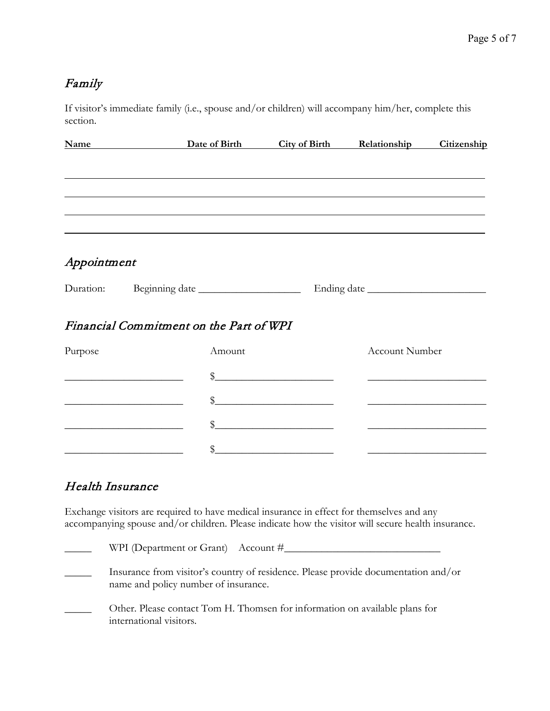## Family

If visitor's immediate family (i.e., spouse and/or children) will accompany him/her, complete this section.

|             | Name Date of Birth                      |        | <b>City of Birth Relationship</b>                                                                                    |                       | Citizenship                                                                                                                                                                                                                          |
|-------------|-----------------------------------------|--------|----------------------------------------------------------------------------------------------------------------------|-----------------------|--------------------------------------------------------------------------------------------------------------------------------------------------------------------------------------------------------------------------------------|
|             |                                         |        |                                                                                                                      |                       |                                                                                                                                                                                                                                      |
|             |                                         |        |                                                                                                                      |                       |                                                                                                                                                                                                                                      |
|             |                                         |        |                                                                                                                      |                       |                                                                                                                                                                                                                                      |
|             |                                         |        |                                                                                                                      |                       |                                                                                                                                                                                                                                      |
| Appointment |                                         |        |                                                                                                                      |                       |                                                                                                                                                                                                                                      |
|             |                                         |        |                                                                                                                      |                       | Ending date                                                                                                                                                                                                                          |
|             | Financial Commitment on the Part of WPI |        |                                                                                                                      |                       |                                                                                                                                                                                                                                      |
| Purpose     |                                         | Amount |                                                                                                                      | <b>Account Number</b> |                                                                                                                                                                                                                                      |
|             |                                         |        | $\frac{1}{2}$                                                                                                        |                       |                                                                                                                                                                                                                                      |
|             |                                         |        | $\frac{1}{2}$                                                                                                        |                       | <u> 1980 - Johann Harry Harry Harry Harry Harry Harry Harry Harry Harry Harry Harry Harry Harry Harry Harry Harry Harry Harry Harry Harry Harry Harry Harry Harry Harry Harry Harry Harry Harry Harry Harry Harry Harry Harry Ha</u> |
|             |                                         |        | $\frac{1}{2}$                                                                                                        |                       |                                                                                                                                                                                                                                      |
|             |                                         | \$     | <u> 1980 - Andrea Britain, politik eta politik eta politik eta politik eta politik eta politik eta politik eta p</u> |                       |                                                                                                                                                                                                                                      |

## Health Insurance

Exchange visitors are required to have medical insurance in effect for themselves and any accompanying spouse and/or children. Please indicate how the visitor will secure health insurance.

| WPI (Department or Grant) Account $\#$                                                                                     |
|----------------------------------------------------------------------------------------------------------------------------|
| Insurance from visitor's country of residence. Please provide documentation and/or<br>name and policy number of insurance. |
| Other. Please contact Tom H. Thomsen for information on available plans for<br>international visitors.                     |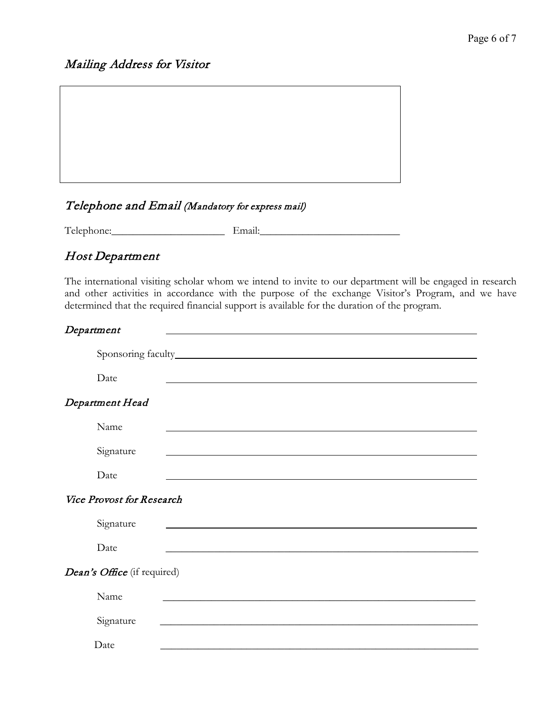### Mailing Address for Visitor

#### Telephone and Email (Mandatory for express mail)

Telephone:\_\_\_\_\_\_\_\_\_\_\_\_\_\_\_\_\_\_\_\_\_ Email:\_\_\_\_\_\_\_\_\_\_\_\_\_\_\_\_\_\_\_\_\_\_\_\_\_\_

#### Host Department

The international visiting scholar whom we intend to invite to our department will be engaged in research and other activities in accordance with the purpose of the exchange Visitor's Program, and we have determined that the required financial support is available for the duration of the program.

#### Department

| Date                               |                                                                                                                                                                                                                               |
|------------------------------------|-------------------------------------------------------------------------------------------------------------------------------------------------------------------------------------------------------------------------------|
| Department Head                    |                                                                                                                                                                                                                               |
| Name                               | the control of the control of the control of the control of the control of the control of the control of the control of the control of the control of the control of the control of the control of the control of the control |
| Signature                          |                                                                                                                                                                                                                               |
| Date                               |                                                                                                                                                                                                                               |
| Vice Provost for Research          |                                                                                                                                                                                                                               |
| Signature                          |                                                                                                                                                                                                                               |
| Date                               |                                                                                                                                                                                                                               |
| <i>Dean's Office</i> (if required) |                                                                                                                                                                                                                               |
| Name                               |                                                                                                                                                                                                                               |
| Signature                          | <u> 1989 - Johann Barbara, margaret eta idazlearia (h. 1989).</u>                                                                                                                                                             |
| Date                               |                                                                                                                                                                                                                               |